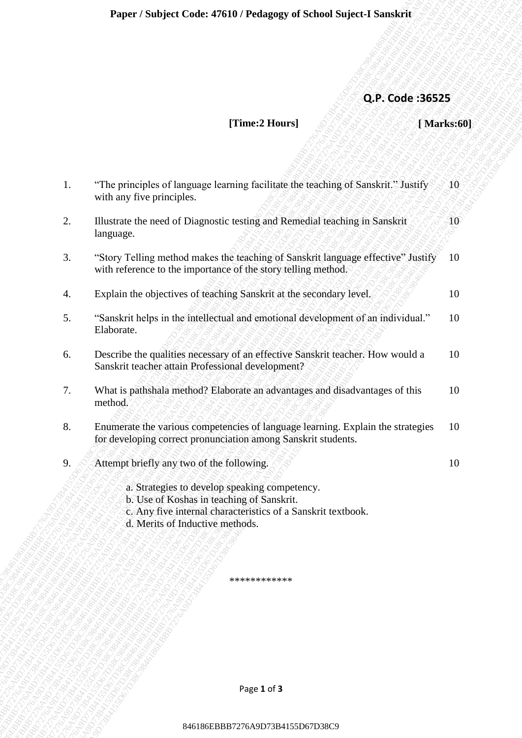## **Q.P. Code :36525**

|    | Paper / Subject Code: 47610 / Pedagogy of School Suject-I Sanskrit                                                                                                                            |                  |  |
|----|-----------------------------------------------------------------------------------------------------------------------------------------------------------------------------------------------|------------------|--|
|    |                                                                                                                                                                                               |                  |  |
|    |                                                                                                                                                                                               | Q.P. Code: 36525 |  |
|    | [Time:2 Hours]                                                                                                                                                                                | [Marks:60]       |  |
|    |                                                                                                                                                                                               |                  |  |
| 1. | "The principles of language learning facilitate the teaching of Sanskrit." Justify<br>with any five principles.                                                                               | $10^{\circ}$     |  |
| 2. | Illustrate the need of Diagnostic testing and Remedial teaching in Sanskrit<br>language.                                                                                                      | $10^{\circ}$     |  |
| 3. | "Story Telling method makes the teaching of Sanskrit language effective" Justify<br>with reference to the importance of the story telling method.                                             | 10               |  |
| 4. | Explain the objectives of teaching Sanskrit at the secondary level.                                                                                                                           | 10               |  |
| 5. | "Sanskrit helps in the intellectual and emotional development of an individual."<br>Elaborate.                                                                                                | 10               |  |
| 6. | Describe the qualities necessary of an effective Sanskrit teacher. How would a<br>Sanskrit teacher attain Professional development?                                                           | 10               |  |
| 7. | What is pathshala method? Elaborate an advantages and disadvantages of this<br>method.                                                                                                        | 10               |  |
| 8. | Enumerate the various competencies of language learning. Explain the strategies<br>for developing correct pronunciation among Sanskrit students.                                              | 10               |  |
| 9. | Attempt briefly any two of the following.                                                                                                                                                     | 10               |  |
|    | a. Strategies to develop speaking competency.<br>b. Use of Koshas in teaching of Sanskrit.<br>c. Any five internal characteristics of a Sanskrit textbook.<br>d. Merits of Inductive methods. |                  |  |
|    |                                                                                                                                                                                               |                  |  |
|    |                                                                                                                                                                                               |                  |  |
|    | ************                                                                                                                                                                                  |                  |  |
|    |                                                                                                                                                                                               |                  |  |
|    |                                                                                                                                                                                               |                  |  |
|    |                                                                                                                                                                                               |                  |  |
|    | Page 1 of 3                                                                                                                                                                                   |                  |  |
|    | 846186EBBB7276A9D73B4155D67D38C9                                                                                                                                                              |                  |  |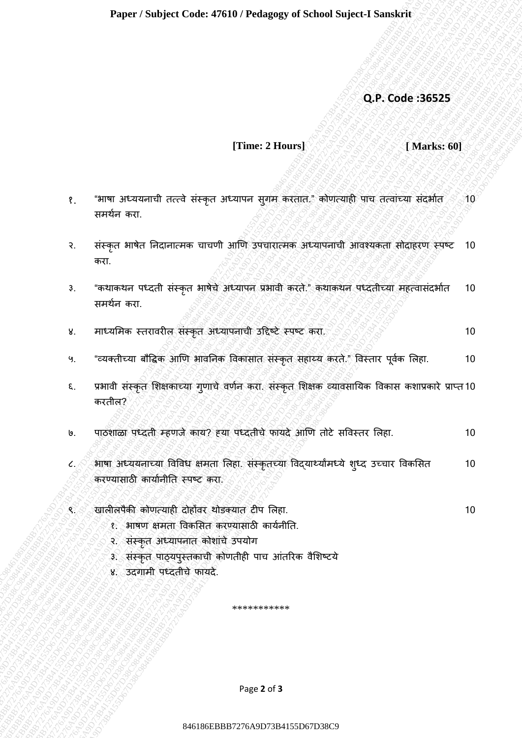## **Q.P. Code :36525**

**[Time: 2 Hours] [ Marks: 60]**

- १. "भाषा अध्ययनाची तत्त्वे संस्कृत अध्यापन सुगम करतात." कोणत्याही पाच तत्वांच्या संदर्भात समर्थन करा.  $10$
- २. संस्कृत भाषेत निदानात्मक चाचणी आणि उपचारात्मक अध्यापनाची आवश्यकता सोदाहरण स्पष्ट करा. 10
- ३. "कथाकथन पध्दती संस्कृत भाषेचे अध्यापन प्रभावी करते." कथाकथन पध्दतीच्या महत्वासंदर्भात समर्थन करा. 10
- ४. माध्यमिक स्तरावरील संस्कृत अध्यापनाची उद्दिष्टे स्पष्ट करा. २००१ प्रदेश वर्षे १० वर्षे १० वर्षे १० वर्षे १०
- ५. "व्यक्तीच्या बौद्धिक आणि भावनिक विकासात संस्कृत सहाय्य करते." विस्तार पूर्वक लिहा. 10
- Q.P. Code 35525<br>
IThus: 2 Hours of Lines (2 Hours 2 Hours 2 Hours 2 Hours 2 Hours 2 Hours 2 Hours 2 Hours 2 Hours 2 Hours 2 Hours 2 Hours 2 Hours 2 Hours 2 Hours 2 Hours 2 Hours 2 Hours 2 Hours 2 Hours 2 Hours 2 Hours 2 H **C.P. Code 36525**<br>
Time: 2 Houng (C.P. Code 36525<br>
1. Suite and<br>
1. Suite and the property and additional additional additional additional additional additional additional additional additional additional additional addit 846186EBB7276<br>8476 B7376 B7376 B7376 B7376 B7376 B7376 B7376 B7376 B7376 B7376 B7376 B7376 B7376 B7376 B7376 B7376<br>1376 B7276 B7376 B7276 B7276 B7276 B7376 B7376 B7376 B7376 B7376 B7376 B7376 B7376 B7376 B7376 B7376 B7376 **Experimental content wave of temperature of the state of the state of the state of the state of the state of the state of the state of the state of the state of the state of the state of the state of the state of the sta** 846186EBBB7276A9D73B4155D67D38C9846186EBBB7276A9D73B4155D67D38C9846186EBBB7276A9D73B4155D67D38C9846186EBBB7276A9D73B4155D67D38C9846186EBBB7276A9D73B4155D67D38C9846186EBBB7276A9D73B4155D67D38C9 **Experimental Code: 37619774-1504**<br> **ETherc 2 Hours)**<br> **CFINES CONFIDENTIA**<br> **ETHERC 4 Hotel and the stationary control and the stationary distinct of the stationary distinct of the stationary distinct of the stationary d** 846186EBBB7276A9D73B4155D67D38C9846186EBBB7276A9D73B4155D67D38C9846186EBBB7276A9D73B4155D67D38C9846186EBBB7276A9D73B4155D67D38C9846186EBBB7276A9D73B4155D67D38C9846186EBBB7276A9D73B4155D67D38C9 Paper / Subject Code: 47610 / Profilgage of School Suject 3 Sundair<br>  $\Omega.P.$  Code: 36525<br>  $\Omega.P.$  Code: 36525<br>  $\Omega.P.$  Code: 36525<br>  $\Omega.P.$  Code: 36525<br>  $\Omega.P.$  Code: 36762<br>  $\Omega.P.$  Code: 36762<br>  $\Omega.P.$  Code: 3676<br>  $\Omega.P.$  Code: Paper / Subject Code: 47610 / Profilgage of School Suject 3 Sundair<br>  $\Omega.P.$  Code: 36525<br>  $\Omega.P.$  Code: 36525<br>  $\Omega.P.$  Code: 36525<br>  $\Omega.P.$  Code: 36525<br>  $\Omega.P.$  Code: 36762<br>  $\Omega.P.$  Code: 36762<br>  $\Omega.P.$  Code: 3676<br>  $\Omega.P.$  Code: Paper / Subject Code: 47610 / Profilgage of School Suject 3 Sundair<br>  $\Omega.P.$  Code: 36525<br>  $\Omega.P.$  Code: 36525<br>  $\Omega.P.$  Code: 36525<br>  $\Omega.P.$  Code: 36525<br>  $\Omega.P.$  Code: 36762<br>  $\Omega.P.$  Code: 36762<br>  $\Omega.P.$  Code: 3676<br>  $\Omega.P.$  Code: Paper / Subject Code: 47610 / Profilgage of School Suject 3 Sundair<br>  $\Omega.P.$  Code: 36525<br>  $\Omega.P.$  Code: 36525<br>  $\Omega.P.$  Code: 36525<br>  $\Omega.P.$  Code: 36525<br>  $\Omega.P.$  Code: 36762<br>  $\Omega.P.$  Code: 36762<br>  $\Omega.P.$  Code: 3676<br>  $\Omega.P.$  Code: Paper / Subject Code: 47648 / Prolagong of School Suject I Soussine<br>
(Time: 3 House)<br>
(Time: 3 House)<br>
(D. Code: 34625<br>
13. and any method area well and a particular comparison and a series and a particular comparison and Paper / Subject Code: 47610 / Pedagogy of School Sigert LSanks11<br>
(D. C. Code: 356325<br>
(Linux 2 Hours)<br>
(Linux 2 Hours)<br>
(D. Code: 356325<br>
(Linux 2 Hours)<br>
(D. Code: 356325<br>
(Linux 2 Hours)<br>
(D. Code: 356325<br>
(Linux 2 Hou Paper / Subject Code: 47610 / Prologogy of School Suject 1 Sumbari ( $\Omega$ P. Code: 186325<br>
Time: 2 Humst<br>
1. Thus actual active<br>
1. Thus actual active<br>
2. Humanita active<br>
2. Humanita active active active active active acti **Paper / Subject Code: 47610 / Pedagong of School Suject-1 Sandwide (April 1766-69)**<br> **ETHER 276 DRA CONFIRM 276**<br> **ETHER 276 D738 A9000 PPA 276 D738 C99-276 D738**<br> **ETHER 276**<br>
2. April 28-16 D74 D74 A9000 PPA 276 D74 D Paper / Subject Under 47618 / Pedagogy of School Superi-I Sandwid<br>
( $Q, P$ , Code 38525<br>
Time: 2 House]<br>
( $\frac{1}{\pi}$  and across provide the school of the school of the school of the school of the school of the school of the Piper / Subject Code: 47648/7 Pediagogy of Schmol Suiject-1 Samulari (APS)<br>
(D.P. Code: 36525<br>
(Time: 2 Hours) (New Code: 36525<br>
(Time: 2 Hours) (New Code: 36525<br>
(Time: 2 Hours) (New Code: 36525<br>
1 Toricin arc:<br>
1 Toric Paper / Sobject Code: 47610 / Pedagog of School Soject-1 Sandwirt<br>
( $Q.P. Code: 35525$ )<br>
Time: 2 Board 1<br>
( $Q.P. Code: 35525$ )<br>
Time: 2 Board 1<br>
( $Q.P. Code: 35525$ )<br>
Time: 2 Board 1<br>
2 B415 A415 B241644 applies and additional and addit Paper / Subject Code: 47610 / Pedagagy of School Suject-1 Sanskrit<br>
(C.P. Code 36525<br>
(Time: 2 Hours)<br>
(A.P. Code 36525<br>
(Time: 2 Hours)<br>
(A.P. Code 36525<br>
(Time: 2 Hours)<br>
(A.P. Code 36525<br>
(a.B. Code 36525<br>
(a.B. Code Paper / Subject Code: 47610 / Pedagogy of School Suject-I Samkrit<br>
(D.P. Code :35525<br>
Time: 2 Hours)<br>
1. Structures are structured and some state of structured and control and solid<br>
excited and itself.<br>
4. Structure and ६. प्रभावी संस्कृत शिक्षकाच्या गुणाचे वर्णन करा. संस्कृत शिक्षक व्यावसायिक विकास कशाप्रकारे प्राप्त10 करतील?
	- ७. पाठिाळा पध्दती म्हणजे काय? ह्या पध्दतीचे फायदे आणण तोटे सद्धवस्तर मलहा. 10
	- ८. अाषा अध्ययनाच्या विविध क्षमता लिहा. संस्कृतच्या विदयार्थ्यांमध्ये शृध्द उच्चार विकसित करण्यासाठी कार्यानीति स्पष्ट करा. 10
	- ९. खालीलपैकी कोणत्तयाही दोहोंवर र्ोडक्यात टीप मलहा.

10

- १. भाषण क्षमता विकसित करण्यासाठी कार्यनीति.
- २. संस्कृत अध्यापनात कोिांचे उपयोग
- ३. संस्कृत पाठ्यपुस्तकाची कोणतीही पाच आंतररक वैमिष्टये
- ४. उदगामी पध्दतीचे फायदे.

Page **2** of **3**

\*\*\*\*\*\*\*\*\*\*\*